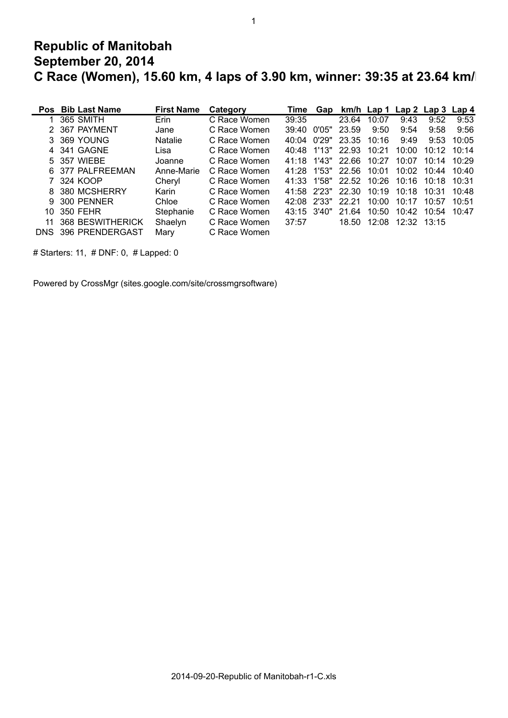## **Republic of Manitobah September 20, 2014 C Race (Women), 15.60 km, 4 laps of 3.90 km, winner: 39:35 at 23.64 km/h**

1

|     | Pos Bib Last Name   | <b>First Name</b> | Category     | Time        | Gap    |                   |       | km/h Lap 1 Lap 2 Lap 3 Lap 4 |                    |       |
|-----|---------------------|-------------------|--------------|-------------|--------|-------------------|-------|------------------------------|--------------------|-------|
|     | 365 SMITH           | Erin              | C Race Women | 39:35       |        | 23.64             | 10:07 | 9:43                         | 9:52               | 9:53  |
|     | 2 367 PAYMENT       | Jane              | C Race Women | 39:40       | 0'05"  | 23.59             | 9:50  | 9:54                         | 9:58               | 9:56  |
|     | 3 369 YOUNG         | <b>Natalie</b>    | C Race Women | 40.04       | 0'29"  | 23.35             | 10:16 | 9:49                         | 9:53               | 10:05 |
|     | 4 341 GAGNE         | Lisa              | C Race Women | 40:48       |        | 1'13" 22.93       | 10:21 | 10:00                        | 10.12              | 10:14 |
|     | 5 357 WIEBE         | Joanne            | C Race Women | 41.18       |        | 1'43" 22.66       | 10:27 | 10:07                        | 10:14              | 10.29 |
|     | 6 377 PALFREEMAN    | Anne-Marie        | C Race Women | 41.28       | 1'53"  | 22.56             | 10:01 | 10:02                        | 10 <sup>-</sup> 44 | 10:40 |
|     | 7 324 KOOP          | Cheryl            | C Race Women | 41:33       |        | 1'58" 22.52       | 10:26 | 10:16                        | 10.18              | 10:31 |
|     | 8 380 MCSHERRY      | Karin             | C Race Women |             |        | 41:58 2'23" 22:30 | 10:19 | 10:18                        | 10:31              | 10.48 |
|     | 9 300 PENNER        | Chloe             | C Race Women | 42.08       | -2'33" | 22.21             | 10:00 | 10:17                        | 10:57              | 10:51 |
| 10. | 350 FEHR            | Stephanie         | C Race Women | 43:15 3'40" |        | 21.64             | 10:50 | 10:42                        | 10:54              | 10:47 |
|     | 11 368 BESWITHERICK | Shaelyn           | C Race Women | 37:57       |        |                   |       | 18.50 12:08 12:32 13:15      |                    |       |
|     | DNS 396 PRENDERGAST | Mary              | C Race Women |             |        |                   |       |                              |                    |       |

# Starters: 11, # DNF: 0, # Lapped: 0

Powered by CrossMgr (sites.google.com/site/crossmgrsoftware)